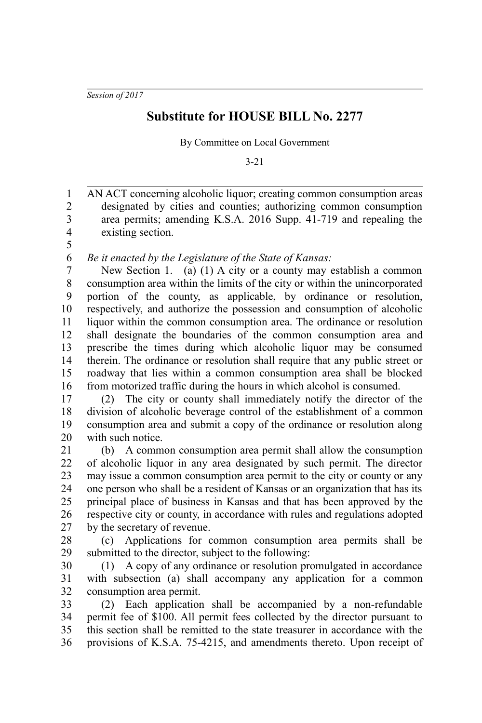*Session of 2017*

## **Substitute for HOUSE BILL No. 2277**

By Committee on Local Government

3-21

AN ACT concerning alcoholic liquor; creating common consumption areas designated by cities and counties; authorizing common consumption area permits; amending K.S.A. 2016 Supp. 41-719 and repealing the existing section. 1 2 3 4 5

*Be it enacted by the Legislature of the State of Kansas:* 6

New Section 1. (a) (1) A city or a county may establish a common consumption area within the limits of the city or within the unincorporated portion of the county, as applicable, by ordinance or resolution, respectively, and authorize the possession and consumption of alcoholic liquor within the common consumption area. The ordinance or resolution shall designate the boundaries of the common consumption area and prescribe the times during which alcoholic liquor may be consumed therein. The ordinance or resolution shall require that any public street or roadway that lies within a common consumption area shall be blocked from motorized traffic during the hours in which alcohol is consumed. 7 8 9 10 11 12 13 14 15 16

(2) The city or county shall immediately notify the director of the division of alcoholic beverage control of the establishment of a common consumption area and submit a copy of the ordinance or resolution along with such notice. 17 18 19 20

(b) A common consumption area permit shall allow the consumption of alcoholic liquor in any area designated by such permit. The director may issue a common consumption area permit to the city or county or any one person who shall be a resident of Kansas or an organization that has its principal place of business in Kansas and that has been approved by the respective city or county, in accordance with rules and regulations adopted by the secretary of revenue. 21 22 23 24 25 26 27

(c) Applications for common consumption area permits shall be submitted to the director, subject to the following: 28 29

(1) A copy of any ordinance or resolution promulgated in accordance with subsection (a) shall accompany any application for a common consumption area permit. 30 31 32

(2) Each application shall be accompanied by a non-refundable permit fee of \$100. All permit fees collected by the director pursuant to this section shall be remitted to the state treasurer in accordance with the provisions of K.S.A. 75-4215, and amendments thereto. Upon receipt of 33 34 35 36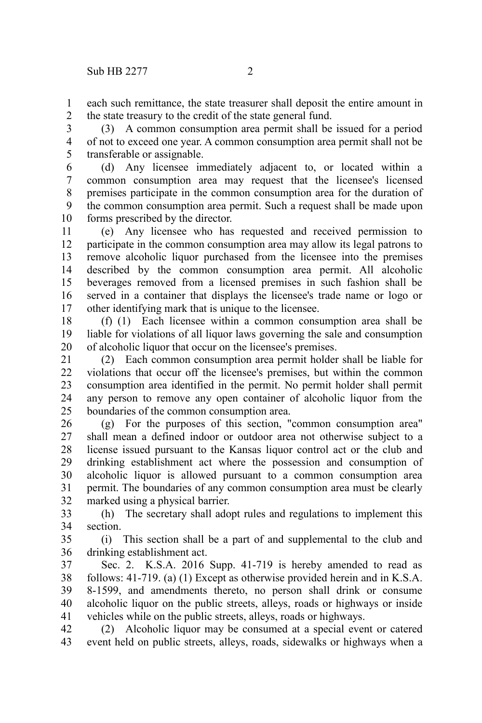each such remittance, the state treasurer shall deposit the entire amount in the state treasury to the credit of the state general fund. 1 2

(3) A common consumption area permit shall be issued for a period of not to exceed one year. A common consumption area permit shall not be transferable or assignable. 3 4 5

(d) Any licensee immediately adjacent to, or located within a common consumption area may request that the licensee's licensed premises participate in the common consumption area for the duration of the common consumption area permit. Such a request shall be made upon forms prescribed by the director. 6 7 8 9 10

(e) Any licensee who has requested and received permission to participate in the common consumption area may allow its legal patrons to remove alcoholic liquor purchased from the licensee into the premises described by the common consumption area permit. All alcoholic beverages removed from a licensed premises in such fashion shall be served in a container that displays the licensee's trade name or logo or other identifying mark that is unique to the licensee. 11 12 13 14 15 16 17

(f) (1) Each licensee within a common consumption area shall be liable for violations of all liquor laws governing the sale and consumption of alcoholic liquor that occur on the licensee's premises. 18 19 20

(2) Each common consumption area permit holder shall be liable for violations that occur off the licensee's premises, but within the common consumption area identified in the permit. No permit holder shall permit any person to remove any open container of alcoholic liquor from the boundaries of the common consumption area. 21 22 23 24 25

(g) For the purposes of this section, "common consumption area" shall mean a defined indoor or outdoor area not otherwise subject to a license issued pursuant to the Kansas liquor control act or the club and drinking establishment act where the possession and consumption of alcoholic liquor is allowed pursuant to a common consumption area permit. The boundaries of any common consumption area must be clearly marked using a physical barrier. 26 27 28 29 30 31 32

(h) The secretary shall adopt rules and regulations to implement this section. 33 34

(i) This section shall be a part of and supplemental to the club and drinking establishment act. 35 36

Sec. 2. K.S.A. 2016 Supp. 41-719 is hereby amended to read as follows: 41-719. (a) (1) Except as otherwise provided herein and in K.S.A. 8-1599, and amendments thereto, no person shall drink or consume alcoholic liquor on the public streets, alleys, roads or highways or inside vehicles while on the public streets, alleys, roads or highways. 37 38 39 40 41

(2) Alcoholic liquor may be consumed at a special event or catered event held on public streets, alleys, roads, sidewalks or highways when a 42 43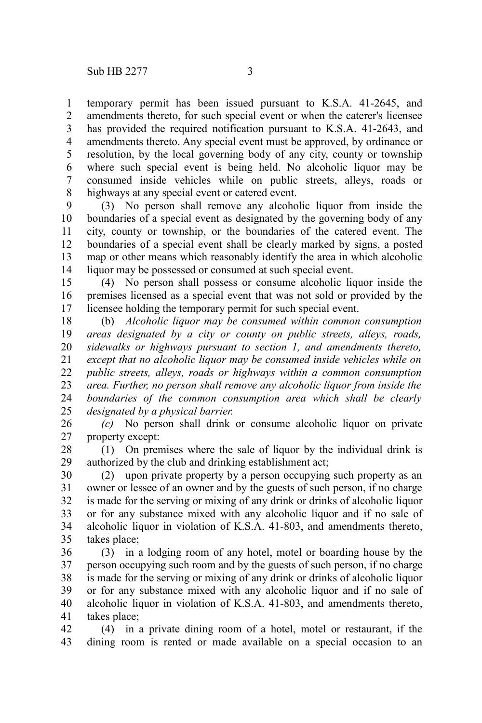temporary permit has been issued pursuant to K.S.A. 41-2645, and amendments thereto, for such special event or when the caterer's licensee has provided the required notification pursuant to K.S.A. 41-2643, and amendments thereto. Any special event must be approved, by ordinance or resolution, by the local governing body of any city, county or township where such special event is being held. No alcoholic liquor may be consumed inside vehicles while on public streets, alleys, roads or highways at any special event or catered event. 1 2 3 4 5 6 7 8

(3) No person shall remove any alcoholic liquor from inside the boundaries of a special event as designated by the governing body of any city, county or township, or the boundaries of the catered event. The boundaries of a special event shall be clearly marked by signs, a posted map or other means which reasonably identify the area in which alcoholic liquor may be possessed or consumed at such special event. 9 10 11 12 13 14

(4) No person shall possess or consume alcoholic liquor inside the premises licensed as a special event that was not sold or provided by the licensee holding the temporary permit for such special event. 15 16 17

(b) *Alcoholic liquor may be consumed within common consumption areas designated by a city or county on public streets, alleys, roads, sidewalks or highways pursuant to section 1, and amendments thereto, except that no alcoholic liquor may be consumed inside vehicles while on public streets, alleys, roads or highways within a common consumption area. Further, no person shall remove any alcoholic liquor from inside the boundaries of the common consumption area which shall be clearly designated by a physical barrier.* 18 19 20 21 22 23 24 25

*(c)* No person shall drink or consume alcoholic liquor on private property except: 26 27

(1) On premises where the sale of liquor by the individual drink is authorized by the club and drinking establishment act; 28 29

(2) upon private property by a person occupying such property as an owner or lessee of an owner and by the guests of such person, if no charge is made for the serving or mixing of any drink or drinks of alcoholic liquor or for any substance mixed with any alcoholic liquor and if no sale of alcoholic liquor in violation of K.S.A. 41-803, and amendments thereto, takes place; 30 31 32 33 34 35

(3) in a lodging room of any hotel, motel or boarding house by the person occupying such room and by the guests of such person, if no charge is made for the serving or mixing of any drink or drinks of alcoholic liquor or for any substance mixed with any alcoholic liquor and if no sale of alcoholic liquor in violation of K.S.A. 41-803, and amendments thereto, takes place; 36 37 38 39 40 41

(4) in a private dining room of a hotel, motel or restaurant, if the dining room is rented or made available on a special occasion to an 42 43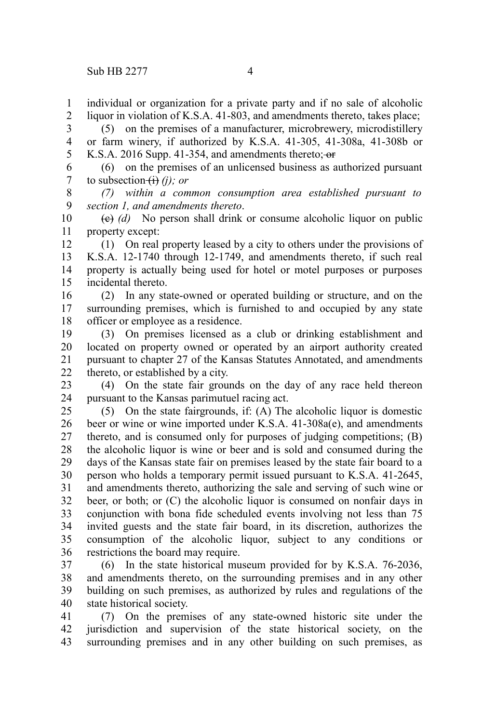individual or organization for a private party and if no sale of alcoholic liquor in violation of K.S.A. 41-803, and amendments thereto, takes place; 1 2

(5) on the premises of a manufacturer, microbrewery, microdistillery or farm winery, if authorized by K.S.A. 41-305, 41-308a, 41-308b or K.S.A. 2016 Supp. 41-354, and amendments thereto; or 3 4 5

(6) on the premises of an unlicensed business as authorized pursuant to subsection (i) *(j); or* 6 7

*(7) within a common consumption area established pursuant to section 1, and amendments thereto*. 8 9

(c) *(d)* No person shall drink or consume alcoholic liquor on public property except: 10 11

(1) On real property leased by a city to others under the provisions of K.S.A. 12-1740 through 12-1749, and amendments thereto, if such real property is actually being used for hotel or motel purposes or purposes incidental thereto. 12 13 14 15

(2) In any state-owned or operated building or structure, and on the surrounding premises, which is furnished to and occupied by any state officer or employee as a residence. 16 17 18

(3) On premises licensed as a club or drinking establishment and located on property owned or operated by an airport authority created pursuant to chapter 27 of the Kansas Statutes Annotated, and amendments thereto, or established by a city. 19 20 21 22

(4) On the state fair grounds on the day of any race held thereon pursuant to the Kansas parimutuel racing act. 23 24

(5) On the state fairgrounds, if: (A) The alcoholic liquor is domestic beer or wine or wine imported under K.S.A. 41-308a(e), and amendments thereto, and is consumed only for purposes of judging competitions; (B) the alcoholic liquor is wine or beer and is sold and consumed during the days of the Kansas state fair on premises leased by the state fair board to a person who holds a temporary permit issued pursuant to K.S.A. 41-2645, and amendments thereto, authorizing the sale and serving of such wine or beer, or both; or (C) the alcoholic liquor is consumed on nonfair days in conjunction with bona fide scheduled events involving not less than 75 invited guests and the state fair board, in its discretion, authorizes the consumption of the alcoholic liquor, subject to any conditions or restrictions the board may require. 25 26 27 28 29 30 31 32 33 34 35 36

(6) In the state historical museum provided for by K.S.A. 76-2036, and amendments thereto, on the surrounding premises and in any other building on such premises, as authorized by rules and regulations of the state historical society. 37 38 39 40

(7) On the premises of any state-owned historic site under the jurisdiction and supervision of the state historical society, on the surrounding premises and in any other building on such premises, as 41 42 43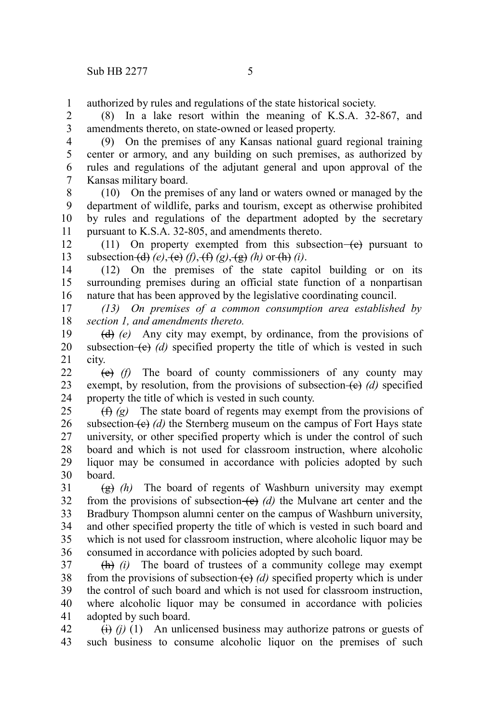authorized by rules and regulations of the state historical society. 1

(8) In a lake resort within the meaning of K.S.A. 32-867, and amendments thereto, on state-owned or leased property. 2 3

(9) On the premises of any Kansas national guard regional training center or armory, and any building on such premises, as authorized by rules and regulations of the adjutant general and upon approval of the Kansas military board. 4 5 6 7

(10) On the premises of any land or waters owned or managed by the department of wildlife, parks and tourism, except as otherwise prohibited by rules and regulations of the department adopted by the secretary pursuant to K.S.A. 32-805, and amendments thereto. 8 9 10 11

(11) On property exempted from this subsection $\left( \frac{e}{e} \right)$  pursuant to subsection  $\left(\frac{d}{d}\right)(e)$ ,  $\left(\frac{e}{f}\right)(f)$ ,  $\left(\frac{f}{f}\right)(g)$ ,  $\left(\frac{e}{g}\right)(h)$  or  $\left(\frac{h}{g}\right)(i)$ . 12 13

(12) On the premises of the state capitol building or on its surrounding premises during an official state function of a nonpartisan nature that has been approved by the legislative coordinating council. 14 15 16

*(13) On premises of a common consumption area established by section 1, and amendments thereto.* 17 18

(d) *(e)* Any city may exempt, by ordinance, from the provisions of subsection  $(e)$  *(d)* specified property the title of which is vested in such city. 19 20 21

(e) *(f)* The board of county commissioners of any county may exempt, by resolution, from the provisions of subsection  $(e)$  *(d)* specified property the title of which is vested in such county. 22 23 24

(f) *(g)* The state board of regents may exempt from the provisions of subsection  $\left(\mathbf{e}\right)$  *(d)* the Sternberg museum on the campus of Fort Hays state university, or other specified property which is under the control of such board and which is not used for classroom instruction, where alcoholic liquor may be consumed in accordance with policies adopted by such board. 25 26 27 28 29 30

(g) *(h)* The board of regents of Washburn university may exempt from the provisions of subsection  $\left(\frac{e}{f}\right)$  (d) the Mulvane art center and the Bradbury Thompson alumni center on the campus of Washburn university, and other specified property the title of which is vested in such board and which is not used for classroom instruction, where alcoholic liquor may be consumed in accordance with policies adopted by such board. 31 32 33 34 35 36

(h) *(i)* The board of trustees of a community college may exempt from the provisions of subsection (c) *(d)* specified property which is under the control of such board and which is not used for classroom instruction, where alcoholic liquor may be consumed in accordance with policies adopted by such board. 37 38 39 40 41

 $(i)$  (i) (1) An unlicensed business may authorize patrons or guests of such business to consume alcoholic liquor on the premises of such 42 43